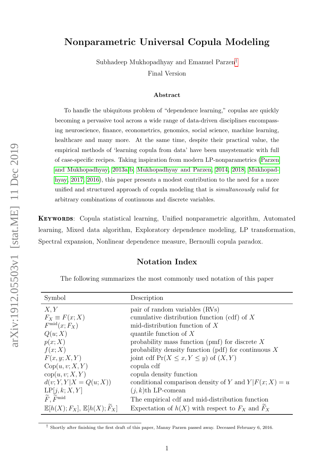### Nonparametric Universal Copula Modeling

Subhadeep Mukhopadhyay and Emanuel Parzen[†](#page-0-0) Final Version

#### Abstract

To handle the ubiquitous problem of "dependence learning," copulas are quickly becoming a pervasive tool across a wide range of data-driven disciplines encompassing neuroscience, finance, econometrics, genomics, social science, machine learning, healthcare and many more. At the same time, despite their practical value, the empirical methods of 'learning copula from data' have been unsystematic with full of case-specific recipes. Taking inspiration from modern LP-nonparametrics [\(Parzen](#page-27-0) [and Mukhopadhyay, 2013a,](#page-27-0)[b,](#page-27-1) [Mukhopadhyay and Parzen, 2014,](#page-26-0) [2018,](#page-27-2) [Mukhopad](#page-26-1)[hyay, 2017,](#page-26-1) [2016\)](#page-26-2), this paper presents a modest contribution to the need for a more unified and structured approach of copula modeling that is simultaneously valid for arbitrary combinations of continuous and discrete variables.

Keywords: Copula statistical learning, Unified nonparametric algorithm, Automated learning, Mixed data algorithm, Exploratory dependence modeling, LP transformation, Spectral expansion, Nonlinear dependence measure, Bernoulli copula paradox.

#### Notation Index

The following summarizes the most commonly used notation of this paper

| Symbol                                         | Description                                            |
|------------------------------------------------|--------------------------------------------------------|
| X, Y                                           | pair of random variables (RVs)                         |
| $F_X \equiv F(x;X)$                            | cumulative distribution function (cdf) of $X$          |
| $F^{\text{mid}}(x;F_X)$                        | mid-distribution function of $X$                       |
| Q(u;X)                                         | quantile function of $X$                               |
| p(x;X)                                         | probability mass function (pmf) for discrete $X$       |
| f(x;X)                                         | probability density function (pdf) for continuous $X$  |
| F(x, y; X, Y)                                  | joint cdf $Pr(X \leq x, Y \leq y)$ of $(X, Y)$         |
| Cop(u, v; X, Y)                                | copula cdf                                             |
| cop(u, v; X, Y)                                | copula density function                                |
| $d(v; Y, Y X = Q(u; X))$                       | conditional comparison density of Y and $Y F(x;X) = u$ |
| LP[j, k; X, Y]                                 | $(j,k)$ th LP-comean                                   |
| $\widetilde{F}$ , $\widetilde{F}^{\text{mid}}$ | The empirical cdf and mid-distribution function        |
| $\mathbb{E}[h(X); F_X], \mathbb{E}[h(X); F_X]$ | Expectation of $h(X)$ with respect to $F_X$ and $F_X$  |

<span id="page-0-0"></span><sup>†</sup> Shortly after finishing the first draft of this paper, Manny Parzen passed away. Deceased February 6, 2016.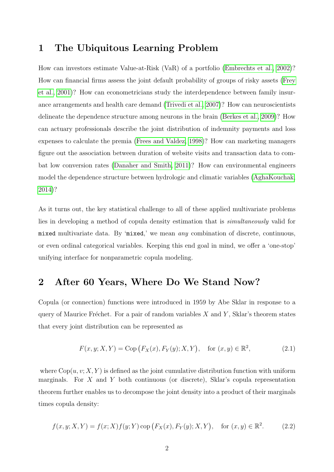# 1 The Ubiquitous Learning Problem

How can investors estimate Value-at-Risk (VaR) of a portfolio [\(Embrechts et al., 2002\)](#page-25-0)? How can financial firms assess the joint default probability of groups of risky assets [\(Frey](#page-25-1) [et al., 2001\)](#page-25-1)? How can econometricians study the interdependence between family insurance arrangements and health care demand [\(Trivedi et al., 2007\)](#page-28-0)? How can neuroscientists delineate the dependence structure among neurons in the brain [\(Berkes et al., 2009\)](#page-24-0)? How can actuary professionals describe the joint distribution of indemnity payments and loss expenses to calculate the premia [\(Frees and Valdez, 1998\)](#page-25-2)? How can marketing managers figure out the association between duration of website visits and transaction data to combat low conversion rates [\(Danaher and Smith, 2011\)](#page-24-1)? How can environmental engineers model the dependence structure between hydrologic and climatic variables [\(AghaKouchak,](#page-24-2) [2014\)](#page-24-2)?

As it turns out, the key statistical challenge to all of these applied multivariate problems lies in developing a method of copula density estimation that is simultaneously valid for mixed multivariate data. By 'mixed,' we mean any combination of discrete, continuous, or even ordinal categorical variables. Keeping this end goal in mind, we offer a 'one-stop' unifying interface for nonparametric copula modeling.

#### 2 After 60 Years, Where Do We Stand Now?

Copula (or connection) functions were introduced in 1959 by Abe Sklar in response to a query of Maurice Fréchet. For a pair of random variables  $X$  and  $Y$ , Sklar's theorem states that every joint distribution can be represented as

$$
F(x, y; X, Y) = \text{Cop}\left(F_X(x), F_Y(y); X, Y\right), \quad \text{for } (x, y) \in \mathbb{R}^2,
$$
\n(2.1)

where  $\text{Cop}(u, v; X, Y)$  is defined as the joint cumulative distribution function with uniform marginals. For X and Y both continuous (or discrete), Sklar's copula representation theorem further enables us to decompose the joint density into a product of their marginals times copula density:

$$
f(x, y; X, Y) = f(x; X) f(y; Y) \, \text{cop}\left(F_X(x), F_Y(y); X, Y\right), \quad \text{for } (x, y) \in \mathbb{R}^2. \tag{2.2}
$$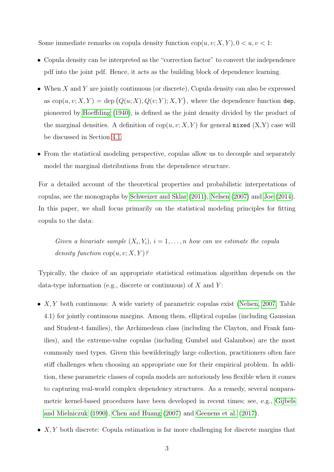Some immediate remarks on copula density function  $\text{cop}(u, v; X, Y)$ ,  $0 < u, v < 1$ :

- Copula density can be interpreted as the "correction factor" to convert the independence pdf into the joint pdf. Hence, it acts as the building block of dependence learning.
- When X and Y are jointly continuous (or discrete), Copula density can also be expressed as  $\text{cop}(u, v; X, Y) = \text{dep} (Q(u; X), Q(v; Y); X, Y)$ , where the dependence function dep, pioneered by [Hoeffding](#page-25-3) [\(1940\)](#page-25-3), is defined as the joint density divided by the product of the marginal densities. A definition of  $\text{cop}(u, v; X, Y)$  for general mixed  $(X, Y)$  case will be discussed in Section [4.1.](#page-6-0)
- From the statistical modeling perspective, copulas allow us to decouple and separately model the marginal distributions from the dependence structure.

For a detailed account of the theoretical properties and probabilistic interpretations of copulas, see the monographs by [Schweizer and Sklar](#page-27-3) [\(2011\)](#page-27-3), [Nelsen](#page-27-4) [\(2007\)](#page-27-4) and [Joe](#page-26-3) [\(2014\)](#page-26-3). In this paper, we shall focus primarily on the statistical modeling principles for fitting copula to the data:

Given a bivariate sample  $(X_i, Y_i)$ ,  $i = 1, \ldots, n$  how can we estimate the copula density function  $\text{cop}(u, v; X, Y)$ ?

Typically, the choice of an appropriate statistical estimation algorithm depends on the data-type information (e.g., discrete or continuous) of  $X$  and  $Y$ :

- $X, Y$  both continuous: A wide variety of parametric copulas exist [\(Nelsen, 2007,](#page-27-4) Table 4.1) for jointly continuous margins. Among them, elliptical copulas (including Gaussian and Student-t families), the Archimedean class (including the Clayton, and Frank families), and the extreme-value copulas (including Gumbel and Galambos) are the most commonly used types. Given this bewilderingly large collection, practitioners often face stiff challenges when choosing an appropriate one for their empirical problem. In addition, these parametric classes of copula models are notoriously less flexible when it comes to capturing real-world complex dependency structures. As a remedy, several nonparametric kernel-based procedures have been developed in recent times; see, e.g., [Gijbels](#page-25-4) [and Mielniczuk](#page-25-4) [\(1990\)](#page-25-4), [Chen and Huang](#page-24-3) [\(2007\)](#page-24-3) and [Geenens et al.](#page-25-5) [\(2017\)](#page-25-5).
- $X, Y$  both discrete: Copula estimation is far more challenging for discrete margins that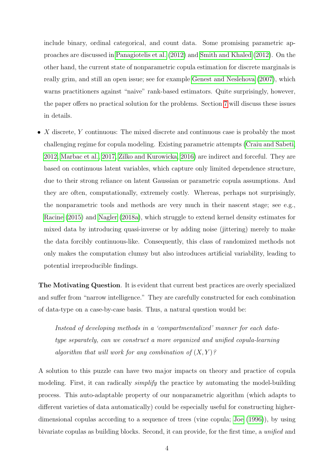include binary, ordinal categorical, and count data. Some promising parametric approaches are discussed in [Panagiotelis et al.](#page-27-5) [\(2012\)](#page-27-5) and [Smith and Khaled](#page-28-1) [\(2012\)](#page-28-1). On the other hand, the current state of nonparametric copula estimation for discrete marginals is really grim, and still an open issue; see for example [Genest and Neslehova](#page-25-6) [\(2007\)](#page-25-6), which warns practitioners against "naive" rank-based estimators. Quite surprisingly, however, the paper offers no practical solution for the problems. Section [7](#page-16-0) will discuss these issues in details.

• X discrete, Y continuous: The mixed discrete and continuous case is probably the most challenging regime for copula modeling. Existing parametric attempts [\(Craiu and Sabeti,](#page-24-4) [2012,](#page-24-4) [Marbac et al., 2017,](#page-26-4) [Zilko and Kurowicka, 2016\)](#page-28-2) are indirect and forceful. They are based on continuous latent variables, which capture only limited dependence structure, due to their strong reliance on latent Gaussian or parametric copula assumptions. And they are often, computationally, extremely costly. Whereas, perhaps not surprisingly, the nonparametric tools and methods are very much in their nascent stage; see e.g., [Racine](#page-27-6) [\(2015\)](#page-27-6) and [Nagler](#page-27-7) [\(2018a\)](#page-27-7), which struggle to extend kernel density estimates for mixed data by introducing quasi-inverse or by adding noise (jittering) merely to make the data forcibly continuous-like. Consequently, this class of randomized methods not only makes the computation clumsy but also introduces artificial variability, leading to potential irreproducible findings.

The Motivating Question. It is evident that current best practices are overly specialized and suffer from "narrow intelligence." They are carefully constructed for each combination of data-type on a case-by-case basis. Thus, a natural question would be:

Instead of developing methods in a 'compartmentalized' manner for each datatype separately, can we construct a more organized and unified copula-learning algorithm that will work for any combination of  $(X, Y)$ ?

A solution to this puzzle can have two major impacts on theory and practice of copula modeling. First, it can radically *simplify* the practice by automating the model-building process. This auto-adaptable property of our nonparametric algorithm (which adapts to different varieties of data automatically) could be especially useful for constructing higherdimensional copulas according to a sequence of trees (vine copula; [Joe](#page-26-5) [\(1996\)](#page-26-5)), by using bivariate copulas as building blocks. Second, it can provide, for the first time, a unified and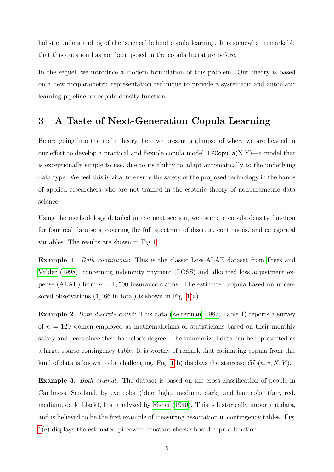holistic understanding of the 'science' behind copula learning. It is somewhat remarkable that this question has not been posed in the copula literature before.

In the sequel, we introduce a modern formulation of this problem. Our theory is based on a new nonparametric representation technique to provide a systematic and automatic learning pipeline for copula density function.

# 3 A Taste of Next-Generation Copula Learning

Before going into the main theory, here we present a glimpse of where we are headed in our effort to develop a practical and flexible copula model,  $LPCopula(X,Y)$ —a model that is exceptionally simple to use, due to its ability to adapt automatically to the underlying data type. We feel this is vital to ensure the safety of the proposed technology in the hands of applied researchers who are not trained in the esoteric theory of nonparametric data science.

Using the methodology detailed in the next section, we estimate copula density function for four real data sets, covering the full spectrum of discrete, continuous, and categorical variables. The results are shown in Fig [1.](#page-5-0)

Example 1. *Both continuous*: This is the classic Loss-ALAE dataset from [Frees and](#page-25-2) [Valdez](#page-25-2) [\(1998\)](#page-25-2), concerning indemnity payment (LOSS) and allocated loss adjustment expense (ALAE) from  $n = 1,500$  insurance claims. The estimated copula based on uncensored observations  $(1,466$  in total) is shown in Fig. [1\(](#page-5-0)a).

Example 2. Both discrete count: This data [\(Zelterman, 1987,](#page-28-3) Table 1) reports a survey of  $n = 129$  women employed as mathematicians or statisticians based on their monthly salary and years since their bachelor's degree. The summarized data can be represented as a large, sparse contingency table. It is worthy of remark that estimating copula from this kind of data is known to be challenging. Fig. [1\(](#page-5-0)b) displays the staircase  $\widehat{\text{cop}}(u, v; X, Y)$ .

Example 3. Both ordinal: The dataset is based on the cross-classification of people in Caithness, Scotland, by eye color (blue, light, medium, dark) and hair color (fair, red, medium, dark, black), first analyzed by [Fisher](#page-25-7) [\(1940\)](#page-25-7). This is historically important data, and is believed to be the first example of measuring association in contingency tables. Fig. [1\(](#page-5-0)c) displays the estimated piecewise-constant checkerboard copula function.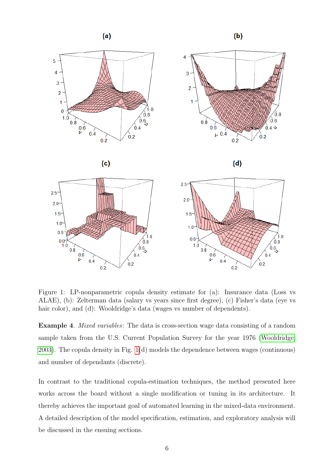<span id="page-5-0"></span>

Figure 1: LP-nonparametric copula density estimate for (a): Insurance data (Loss vs ALAE), (b): Zelterman data (salary vs years since first degree), (c) Fisher's data (eye vs hair color), and (d): Wooldridge's data (wages vs number of dependents).

Example 4. Mixed variables: The data is cross-section wage data consisting of a random sample taken from the U.S. Current Population Survey for the year 1976 [\(Wooldridge,](#page-28-4) [2003\)](#page-28-4). The copula density in Fig. [1\(](#page-5-0)d) models the dependence between wages (continuous) and number of dependants (discrete).

In contrast to the traditional copula-estimation techniques, the method presented here works across the board without a single modification or tuning in its architecture. It thereby achieves the important goal of automated learning in the mixed-data environment. A detailed description of the model specification, estimation, and exploratory analysis will be discussed in the ensuing sections.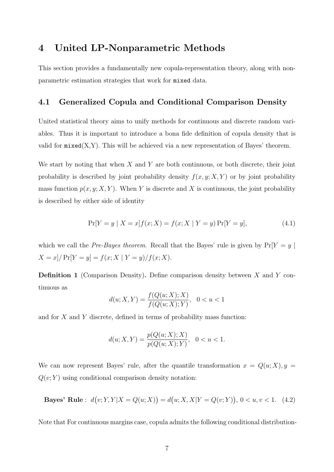### 4 United LP-Nonparametric Methods

This section provides a fundamentally new copula-representation theory, along with nonparametric estimation strategies that work for mixed data.

#### <span id="page-6-0"></span>4.1 Generalized Copula and Conditional Comparison Density

United statistical theory aims to unify methods for continuous and discrete random variables. Thus it is important to introduce a bona fide definition of copula density that is valid for  $mixed(X, Y)$ . This will be achieved via a new representation of Bayes' theorem.

We start by noting that when  $X$  and  $Y$  are both continuous, or both discrete, their joint probability is described by joint probability density  $f(x, y; X, Y)$  or by joint probability mass function  $p(x, y; X, Y)$ . When Y is discrete and X is continuous, the joint probability is described by either side of identity

$$
\Pr[Y = y \mid X = x] f(x; X) = f(x; X \mid Y = y) \Pr[Y = y], \tag{4.1}
$$

which we call the Pre-Bayes theorem. Recall that the Bayes' rule is given by  $Pr[Y = y |$  $X = x$ ] /  $Pr[Y = y] = f(x; X | Y = y) / f(x; X)$ .

**Definition 1** (Comparison Density). Define comparison density between  $X$  and  $Y$  continuous as

$$
d(u; X, Y) = \frac{f(Q(u; X); X)}{f(Q(u; X); Y)}, \quad 0 < u < 1
$$

and for  $X$  and  $Y$  discrete, defined in terms of probability mass function:

$$
d(u; X, Y) = \frac{p(Q(u; X); X)}{p(Q(u; X); Y)}, \quad 0 < u < 1.
$$

We can now represent Bayes' rule, after the quantile transformation  $x = Q(u; X), y =$  $Q(v; Y)$  using conditional comparison density notation:

<span id="page-6-1"></span>**Bayes' Rule**: 
$$
d(v; Y, Y | X = Q(u; X)) = d(u; X, X | Y = Q(v; Y)), 0 < u, v < 1.
$$
 (4.2)

Note that For continuous margins case, copula admits the following conditional distribution-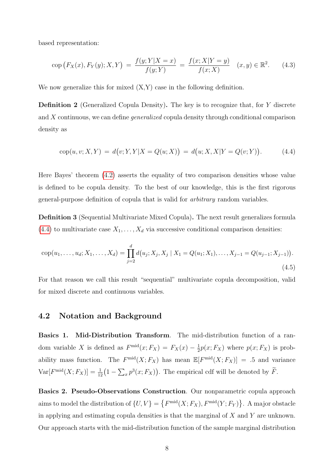based representation:

$$
\text{cop}\left(F_X(x), F_Y(y); X, Y\right) = \frac{f(y; Y|X=x)}{f(y; Y)} = \frac{f(x; X|Y=y)}{f(x; X)} \quad (x, y) \in \mathbb{R}^2. \tag{4.3}
$$

We now generalize this for mixed  $(X, Y)$  case in the following definition.

Definition 2 (Generalized Copula Density). The key is to recognize that, for Y discrete and X continuous, we can define generalized copula density through conditional comparison density as

<span id="page-7-0"></span>
$$
cop(u, v; X, Y) = d(v; Y, Y|X = Q(u; X)) = d(u; X, X|Y = Q(v; Y)).
$$
\n(4.4)

Here Bayes' theorem [\(4.2\)](#page-6-1) asserts the equality of two comparison densities whose value is defined to be copula density. To the best of our knowledge, this is the first rigorous general-purpose definition of copula that is valid for arbitrary random variables.

Definition 3 (Sequential Multivariate Mixed Copula). The next result generalizes formula  $(4.4)$  to multivariate case  $X_1, \ldots, X_d$  via successive conditional comparison densities:

$$
cop(u_1, \ldots, u_d; X_1, \ldots, X_d) = \prod_{j=2}^d d(u_j; X_j, X_j \mid X_1 = Q(u_1; X_1), \ldots, X_{j-1} = Q(u_{j-1}; X_{j-1})).
$$
\n(4.5)

For that reason we call this result "sequential" multivariate copula decomposition, valid for mixed discrete and continuous variables.

#### 4.2 Notation and Background

Basics 1. Mid-Distribution Transform. The mid-distribution function of a random variable X is defined as  $F^{\text{mid}}(x; F_X) = F_X(x) - \frac{1}{2}$  $\frac{1}{2}p(x;F_X)$  where  $p(x;F_X)$  is probability mass function. The  $F^{\text{mid}}(X; F_X)$  has mean  $\mathbb{E}[F^{\text{mid}}(X; F_X)] = .5$  and variance  $Var[F^{\text{mid}}(X; F_X)] = \frac{1}{12}(1 - \sum_x p^3(x; F_X)).$  The empirical cdf will be denoted by  $\tilde{F}$ .

Basics 2. Pseudo-Observations Construction. Our nonparametric copula approach aims to model the distribution of  $\{U, V\} = \{F^{\text{mid}}(X; F_X), F^{\text{mid}}(Y; F_Y)\}\.$  A major obstacle in applying and estimating copula densities is that the marginal of  $X$  and  $Y$  are unknown. Our approach starts with the mid-distribution function of the sample marginal distribution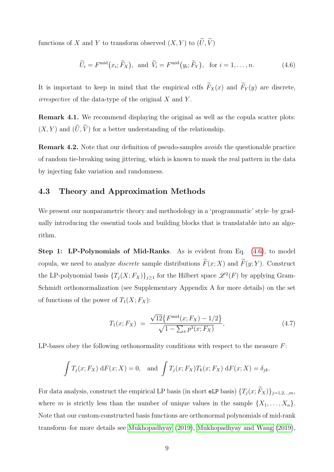functions of X and Y to transform observed  $(X, Y)$  to  $(\widetilde{U}, \widetilde{V})$ 

<span id="page-8-0"></span>
$$
\widetilde{U}_i = F^{\text{mid}}(x_i; \widetilde{F}_X), \text{ and } \widetilde{V}_i = F^{\text{mid}}(y_i; \widetilde{F}_Y), \text{ for } i = 1, \dots, n. \tag{4.6}
$$

It is important to keep in mind that the empirical cdfs  $\widetilde{F}_X(x)$  and  $\widetilde{F}_Y(y)$  are discrete, irrespective of the data-type of the original  $X$  and  $Y$ .

Remark 4.1. We recommend displaying the original as well as the copula scatter plots:  $(X, Y)$  and  $(\widetilde{U}, \widetilde{V})$  for a better understanding of the relationship.

Remark 4.2. Note that our definition of pseudo-samples avoids the questionable practice of random tie-breaking using jittering, which is known to mask the real pattern in the data by injecting fake variation and randomness.

#### 4.3 Theory and Approximation Methods

We present our nonparametric theory and methodology in a 'programmatic' style–by gradually introducing the essential tools and building blocks that is translatable into an algorithm.

Step 1: LP-Polynomials of Mid-Ranks. As is evident from Eq.  $(4.6)$ , to model copula, we need to analyze *discrete* sample distributions  $\widetilde{F}(x; X)$  and  $\widetilde{F}(y; Y)$ . Construct the LP-polynomial basis  $\{T_j(X; F_X)\}_{j\geq 1}$  for the Hilbert space  $\mathscr{L}^2(F)$  by applying Gram-Schmidt orthonormalization (see Supplementary Appendix A for more details) on the set of functions of the power of  $T_1(X; F_X)$ :

$$
T_1(x; F_X) = \frac{\sqrt{12} \{ F^{\text{mid}}(x; F_X) - 1/2 \}}{\sqrt{1 - \sum_x p^3(x; F_X)}},
$$
\n(4.7)

LP-bases obey the following orthonormality conditions with respect to the measure  $F$ :

$$
\int T_j(x; F_X) dF(x; X) = 0, \text{ and } \int T_j(x; F_X) T_k(x; F_X) dF(x; X) = \delta_{jk}.
$$

For data analysis, construct the empirical LP basis (in short eLP basis)  $\{T_i(x; \widetilde{F}_X)\}_{i=1,2,\dots,m}$ where m is strictly less than the number of unique values in the sample  $\{X_1, \ldots, X_n\}$ . Note that our custom-constructed basis functions are orthonormal polynomials of mid-rank transform–for more details see [Mukhopadhyay](#page-26-6) [\(2019\)](#page-26-6), [Mukhopadhyay and Wang](#page-27-8) [\(2019\)](#page-27-8),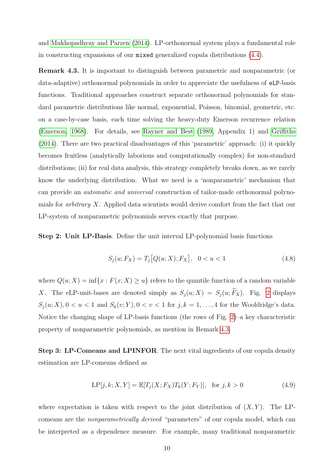and [Mukhopadhyay and Parzen](#page-26-0) [\(2014\)](#page-26-0). LP-orthonormal system plays a fundamental role in constructing expansions of our mixed generalized copula distributions [\(4.4\)](#page-7-0).

<span id="page-9-0"></span>Remark 4.3. It is important to distinguish between parametric and nonparametric (or data-adaptive) orthonormal polynomials in order to appreciate the usefulness of eLP-basis functions. Traditional approaches construct separate orthonormal polynomials for standard parametric distributions like normal, exponential, Poisson, binomial, geometric, etc. on a case-by-case basis, each time solving the heavy-duty Emerson recurrence relation [\(Emerson, 1968\)](#page-25-8). For details, see [Rayner and Best](#page-27-9) [\(1989,](#page-27-9) Appendix 1) and [Griffiths](#page-25-9) [\(2014\)](#page-25-9). There are two practical disadvantages of this 'parametric' approach: (i) it quickly becomes fruitless (analytically laborious and computationally complex) for non-standard distributions; (ii) for real data analysis, this strategy completely breaks down, as we rarely know the underlying distribution. What we need is a 'nonparametric' mechanism that can provide an automatic and universal construction of tailor-made orthonormal polynomials for arbitrary X. Applied data scientists would derive comfort from the fact that our LP-system of nonparametric polynomials serves exactly that purpose.

Step 2: Unit LP-Basis. Define the unit interval LP-polynomial basis functions

$$
S_j(u; F_X) = T_j[Q(u; X); F_X], \quad 0 < u < 1 \tag{4.8}
$$

where  $Q(u; X) = \inf\{x : F(x; X) \geq u\}$  refers to the quantile function of a random variable X. The eLP-unit-bases are denoted simply as  $S_j(u; X) = S_j(u; \widetilde{F}_X)$ . Fig. [2](#page-10-0) displays  $S_j(u;X)$ ,  $0 < u < 1$  and  $S_k(v;Y)$ ,  $0 < v < 1$  for  $j, k = 1, ..., 4$  for the Wooldridge's data. Notice the changing shape of LP-basis functions (the rows of Fig. [2\)](#page-10-0)–a key characteristic property of nonparametric polynomials, as mention in Remark [4.3.](#page-9-0)

Step 3: LP-Comeans and LPINFOR. The next vital ingredients of our copula density estimation are LP-comeans defined as

<span id="page-9-1"></span>
$$
LP[j, k; X, Y] = \mathbb{E}[T_j(X; F_X)T_k(Y; F_Y)], \text{ for } j, k > 0
$$
\n(4.9)

where expectation is taken with respect to the joint distribution of  $(X, Y)$ . The LPcomeans are the nonparametrically derived "parameters" of our copula model, which can be interpreted as a dependence measure. For example, many traditional nonparametric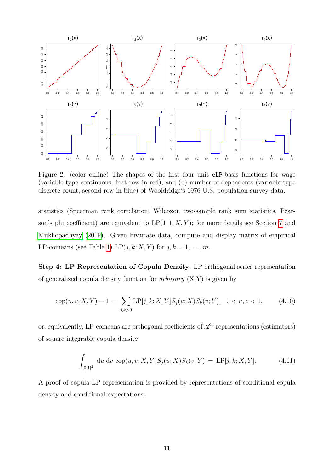<span id="page-10-0"></span>

Figure 2: (color online) The shapes of the first four unit eLP-basis functions for wage (variable type continuous; first row in red), and (b) number of dependents (variable type discrete count; second row in blue) of Wooldridge's 1976 U.S. population survey data.

statistics (Spearman rank correlation, Wilcoxon two-sample rank sum statistics, Pearson's phi coefficient) are equivalent to  $LP(1, 1; X, Y)$ ; for more details see Section [7](#page-16-0) and [Mukhopadhyay](#page-26-6) [\(2019\)](#page-26-6). Given bivariate data, compute and display matrix of empirical LP-comeans (see Table [1\)](#page-16-1) LP $(j, k; X, Y)$  for  $j, k = 1, \ldots, m$ .

Step 4: LP Representation of Copula Density. LP orthogonal series representation of generalized copula density function for *arbitrary*  $(X, Y)$  is given by

<span id="page-10-2"></span>
$$
cop(u, v; X, Y) - 1 = \sum_{j,k>0} LP[j,k; X, Y] S_j(u; X) S_k(v; Y), \quad 0 < u, v < 1,\tag{4.10}
$$

or, equivalently, LP-comeans are orthogonal coefficients of  $\mathscr{L}^2$  representations (estimators) of square integrable copula density

<span id="page-10-1"></span>
$$
\int_{[0,1]^2} du dv cop(u, v; X, Y) S_j(u; X) S_k(v; Y) = \text{LP}[j, k; X, Y]. \tag{4.11}
$$

A proof of copula LP representation is provided by representations of conditional copula density and conditional expectations: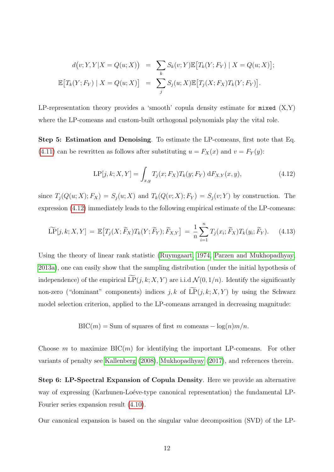$$
d(v; Y, Y|X = Q(u; X)) = \sum_{k} S_k(v; Y) \mathbb{E}[T_k(Y; F_Y) | X = Q(u; X)];
$$
  

$$
\mathbb{E}[T_k(Y; F_Y) | X = Q(u; X)] = \sum_{j} S_j(u; X) \mathbb{E}[T_j(X; F_X)T_k(Y; F_Y)].
$$

LP-representation theory provides a 'smooth' copula density estimate for  $m$ ixed  $(X, Y)$ where the LP-comeans and custom-built orthogonal polynomials play the vital role.

Step 5: Estimation and Denoising. To estimate the LP-comeans, first note that Eq. [\(4.11\)](#page-10-1) can be rewritten as follows after substituting  $u = F_X(x)$  and  $v = F_Y(y)$ :

<span id="page-11-0"></span>
$$
LP[j,k;X,Y] = \int_{x,y} T_j(x;F_X) T_k(y;F_Y) \, dF_{X,Y}(x,y), \tag{4.12}
$$

since  $T_j(Q(u; X); F_X) = S_j(u; X)$  and  $T_k(Q(v; X); F_Y) = S_j(v; Y)$  by construction. The expression [\(4.12\)](#page-11-0) immediately leads to the following empirical estimate of the LP-comeans:

$$
\widetilde{\text{LP}}[j,k;X,Y] = \mathbb{E}\big[T_j(X;\widetilde{F}_X)T_k(Y;\widetilde{F}_Y);\widetilde{F}_{X,Y}\big] = \frac{1}{n}\sum_{i=1}^n T_j(x_i;\widetilde{F}_X)T_k(y_i;\widetilde{F}_Y). \tag{4.13}
$$

Using the theory of linear rank statistic [\(Ruymgaart, 1974,](#page-27-10) [Parzen and Mukhopadhyay,](#page-27-0) [2013a\)](#page-27-0), one can easily show that the sampling distribution (under the initial hypothesis of independence) of the empirical  $\widetilde{\mathrm{LP}}(j, k; X, Y)$  are i.i.d  $\mathcal{N}(0, 1/n)$ . Identify the significantly non-zero ("dominant" components) indices j, k of  $\widetilde{\mathrm{LP}}(j, k; X, Y)$  by using the Schwarz model selection criterion, applied to the LP-comeans arranged in decreasing magnitude:

 $BIC(m) = Sum$  of squares of first m comeans  $-\log(n)m/n$ .

Choose m to maximize  $BIC(m)$  for identifying the important LP-comeans. For other variants of penalty see [Kallenberg](#page-26-7) [\(2008\)](#page-26-7), [Mukhopadhyay](#page-26-1) [\(2017\)](#page-26-1), and references therein.

Step 6: LP-Spectral Expansion of Copula Density. Here we provide an alternative way of expressing (Karhunen-Loéve-type canonical representation) the fundamental LP-Fourier series expansion result [\(4.10\)](#page-10-2).

Our canonical expansion is based on the singular value decomposition (SVD) of the LP-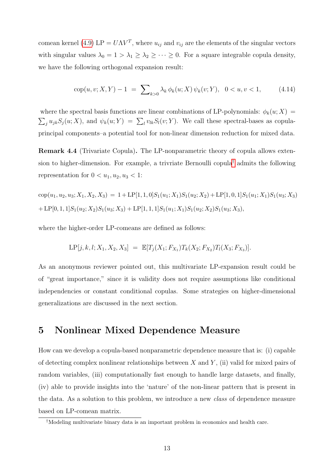comean kernel [\(4.9\)](#page-9-1) LP =  $U\Lambda V^T$ , where  $u_{ij}$  and  $v_{ij}$  are the elements of the singular vectors with singular values  $\lambda_0 = 1 > \lambda_1 \geq \lambda_2 \geq \cdots \geq 0$ . For a square integrable copula density, we have the following orthogonal expansion result:

<span id="page-12-1"></span>
$$
cop(u, v; X, Y) - 1 = \sum_{k>0} \lambda_k \phi_k(u; X) \psi_k(v; Y), \quad 0 < u, v < 1,
$$
 (4.14)

where the spectral basis functions are linear combinations of LP-polynomials:  $\phi_k(u; X) =$  $\sum_j u_{jk} S_j(u; X)$ , and  $\psi_k(u; Y) = \sum_l v_{lk} S_l(v; Y)$ . We call these spectral-bases as copulaprincipal components–a potential tool for non-linear dimension reduction for mixed data.

Remark 4.4 (Trivariate Copula). The LP-nonparametric theory of copula allows exten-sion to higher-dimension. For example, a trivriate Bernoulli copula<sup>[†](#page-12-0)</sup> admits the following representation for  $0 < u_1, u_2, u_3 < 1$ :

$$
cop(u1, u2, u3; X1, X2, X3) = 1 + LP[1, 1, 0]S1(u1; X1)S1(u2; X2) + LP[1, 0, 1]S1(u1; X1)S1(u3; X3)+ LP[0, 1, 1]S1(u2; X2)S1(u3; X3) + LP[1, 1, 1]S1(u1; X1)S1(u2; X2)S1(u3; X3),
$$

where the higher-order LP-comeans are defined as follows:

$$
LP[j, k, l; X_1, X_2, X_3] = \mathbb{E}[T_j(X_1; F_{X_1})T_k(X_2; F_{X_2})T_l(X_3; F_{X_3})].
$$

As an anonymous reviewer pointed out, this multivariate LP-expansion result could be of "great importance," since it is validity does not require assumptions like conditional independencies or constant conditional copulas. Some strategies on higher-dimensional generalizations are discussed in the next section.

#### 5 Nonlinear Mixed Dependence Measure

How can we develop a copula-based nonparametric dependence measure that is: (i) capable of detecting complex nonlinear relationships between X and Y, (ii) valid for mixed pairs of random variables, (iii) computationally fast enough to handle large datasets, and finally, (iv) able to provide insights into the 'nature' of the non-linear pattern that is present in the data. As a solution to this problem, we introduce a new class of dependence measure based on LP-comean matrix.

<span id="page-12-0"></span><sup>†</sup>Modeling multivariate binary data is an important problem in economics and health care.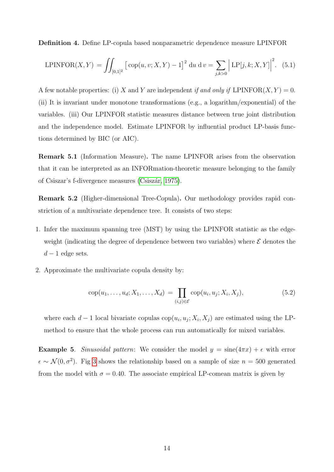Definition 4. Define LP-copula based nonparametric dependence measure LPINFOR

$$
LPINFOR(X, Y) = \iint_{[0,1]^2} \left[ \text{cop}(u, v; X, Y) - 1 \right]^2 du \, dv = \sum_{j,k>0} \left| LP[j,k; X, Y] \right|^2.
$$
 (5.1)

A few notable properties: (i) X and Y are independent if and only if LPINFOR $(X, Y) = 0$ . (ii) It is invariant under monotone transformations (e.g., a logarithm/exponential) of the variables. (iii) Our LPINFOR statistic measures distance between true joint distribution and the independence model. Estimate LPINFOR by influential product LP-basis functions determined by BIC (or AIC).

Remark 5.1 (Information Measure). The name LPINFOR arises from the observation that it can be interpreted as an INFORmation-theoretic measure belonging to the family of Csiszar's f-divergence measures (Csiszár, 1975).

Remark 5.2 (Higher-dimensional Tree-Copula). Our methodology provides rapid constriction of a multivariate dependence tree. It consists of two steps:

- 1. Infer the maximum spanning tree (MST) by using the LPINFOR statistic as the edgeweight (indicating the degree of dependence between two variables) where  $\mathcal E$  denotes the  $d-1$  edge sets.
- 2. Approximate the multivariate copula density by:

$$
cop(u_1, \ldots, u_d; X_1, \ldots, X_d) = \prod_{(i,j) \in \mathcal{E}} cop(u_i, u_j; X_i, X_j), \qquad (5.2)
$$

where each  $d-1$  local bivariate copulas cop $(u_i, u_j; X_i, X_j)$  are estimated using the LPmethod to ensure that the whole process can run automatically for mixed variables.

**Example 5.** Sinusoidal pattern: We consider the model  $y = \text{sine}(4\pi x) + \epsilon$  with error  $\epsilon \sim \mathcal{N}(0, \sigma^2)$ . Fig [3](#page-15-0) shows the relationship based on a sample of size  $n = 500$  generated from the model with  $\sigma = 0.40$ . The associate empirical LP-comean matrix is given by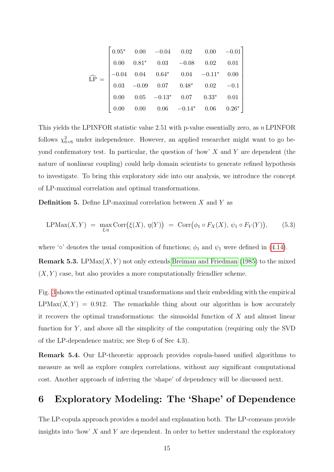$$
\widehat{LP} = \begin{bmatrix}\n0.95^* & 0.00 & -0.04 & 0.02 & 0.00 & -0.01 \\
0.00 & 0.81^* & 0.03 & -0.08 & 0.02 & 0.01 \\
-0.04 & 0.04 & 0.64^* & 0.04 & -0.11^* & 0.00 \\
0.03 & -0.09 & 0.07 & 0.48^* & 0.02 & -0.1 \\
0.00 & 0.05 & -0.13^* & 0.07 & 0.33^* & 0.01 \\
0.00 & 0.00 & 0.06 & -0.14^* & 0.06 & 0.26^*\n\end{bmatrix}
$$

This yields the LPINFOR statistic value 2.51 with p-value essentially zero, as  $n$  LPINFOR follows  $\chi^2_{6\times 6}$  under independence. However, an applied researcher might want to go beyond confirmatory test. In particular, the question of 'how'  $X$  and  $Y$  are dependent (the nature of nonlinear coupling) could help domain scientists to generate refined hypothesis to investigate. To bring this exploratory side into our analysis, we introduce the concept of LP-maximal correlation and optimal transformations.

**Definition 5.** Define LP-maximal correlation between  $X$  and  $Y$  as

$$
LPMax(X, Y) = \max_{\xi, \eta} \text{Corr}(\xi(X), \eta(Y)) = \text{Corr}(\phi_1 \circ F_X(X), \psi_1 \circ F_Y(Y)), \quad (5.3)
$$

where '∘' denotes the usual composition of functions;  $\phi_1$  and  $\psi_1$  were defined in [\(4.14\)](#page-12-1).

**Remark 5.3.** LPMax $(X, Y)$  not only extends [Breiman and Friedman](#page-24-6) [\(1985\)](#page-24-6) to the mixed  $(X, Y)$  case, but also provides a more computationally friendlier scheme.

Fig. [3](#page-15-0) shows the estimated optimal transformations and their embedding with the empirical  $LPMax(X, Y) = 0.912$ . The remarkable thing about our algorithm is how accurately it recovers the optimal transformations: the sinusoidal function of  $X$  and almost linear function for  $Y$ , and above all the simplicity of the computation (requiring only the SVD of the LP-dependence matrix; see Step 6 of Sec 4.3).

Remark 5.4. Our LP-theoretic approach provides copula-based unified algorithms to measure as well as explore complex correlations, without any significant computational cost. Another approach of inferring the 'shape' of dependency will be discussed next.

# 6 Exploratory Modeling: The 'Shape' of Dependence

The LP-copula approach provides a model and explanation both. The LP-comeans provide insights into 'how'  $X$  and  $Y$  are dependent. In order to better understand the exploratory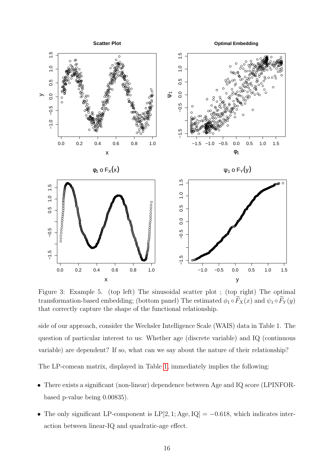<span id="page-15-0"></span>

Figure 3: Example 5. (top left) The sinusoidal scatter plot; (top right) The optimal transformation-based embedding; (bottom panel) The estimated  $\phi_1 \circ \widetilde{F}_X(x)$  and  $\psi_1 \circ \widetilde{F}_Y(y)$ that correctly capture the shape of the functional relationship.

side of our approach, consider the Wechsler Intelligence Scale (WAIS) data in Table 1. The question of particular interest to us: Whether age (discrete variable) and IQ (continuous variable) are dependent? If so, what can we say about the nature of their relationship?

The LP-comean matrix, displayed in Table 1, immediately implies the following:

- There exists a significant (non-linear) dependence between Age and IQ score (LPINFORbased p-value being 0.00835).
- The only significant LP-component is  $LP[2, 1; Age, IQ] = -0.618$ , which indicates interaction between linear-IQ and quadratic-age effect.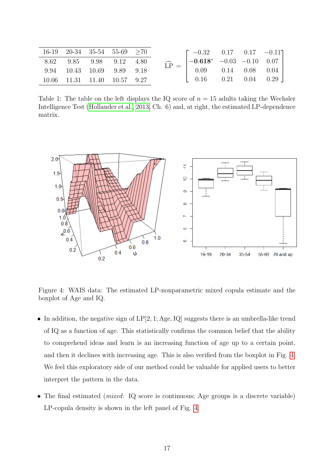<span id="page-16-1"></span>

|  |  | $16-19$ $20-34$ $35-54$ $55-69$ $\geq 70$<br>8.62 9.85 9.98 9.12 4.80<br>9.94 10.43 10.69 9.89 9.18<br>$10.06$ $11.31$ $11.40$ $10.57$ $9.27$ |  | $\widehat{\text{LP}} \, = \, \begin{bmatrix} -0.32 & 0.17 & 0.17 & -0.11 \\ -0.618^* & -0.03 & -0.10 & 0.07 \\ 0.09 & 0.14 & 0.08 & 0.04 \\ 0.16 & 0.21 & 0.04 & 0.29 \end{bmatrix}$ |
|--|--|-----------------------------------------------------------------------------------------------------------------------------------------------|--|--------------------------------------------------------------------------------------------------------------------------------------------------------------------------------------|

<span id="page-16-2"></span>Table 1: The table on the left displays the IQ score of  $n = 15$  adults taking the Wechsler Intelligence Test [\(Hollander et al., 2013,](#page-25-10) Ch. 6) and, at right, the estimated LP-dependence matrix.



Figure 4: WAIS data: The estimated LP-nonparametric mixed copula estimate and the boxplot of Age and IQ.

- In addition, the negative sign of  $LP[2, 1; Age, IQ]$  suggests there is an umbrella-like trend of IQ as a function of age. This statistically confirms the common belief that the ability to comprehend ideas and learn is an increasing function of age up to a certain point, and then it declines with increasing age. This is also verified from the boxplot in Fig. [4.](#page-16-2) We feel this exploratory side of our method could be valuable for applied users to better interpret the pattern in the data.
- <span id="page-16-0"></span>• The final estimated (*mixed*: IQ score is continuous; Age groups is a discrete variable) LP-copula density is shown in the left panel of Fig. [4.](#page-16-2)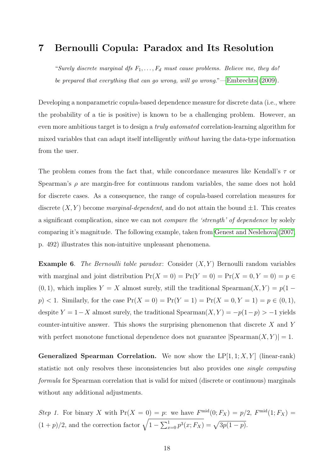#### 7 Bernoulli Copula: Paradox and Its Resolution

"Surely discrete marginal dfs  $F_1, \ldots, F_d$  must cause problems. Believe me, they do! be prepared that everything that can go wrong, will go wrong."[—Embrechts](#page-25-11) [\(2009\)](#page-25-11).

Developing a nonparametric copula-based dependence measure for discrete data (i.e., where the probability of a tie is positive) is known to be a challenging problem. However, an even more ambitious target is to design a truly automated correlation-learning algorithm for mixed variables that can adapt itself intelligently without having the data-type information from the user.

The problem comes from the fact that, while concordance measures like Kendall's  $\tau$  or Spearman's  $\rho$  are margin-free for continuous random variables, the same does not hold for discrete cases. As a consequence, the range of copula-based correlation measures for discrete  $(X, Y)$  become marginal-dependent, and do not attain the bound  $\pm 1$ . This creates a significant complication, since we can not compare the 'strength' of dependence by solely comparing it's magnitude. The following example, taken from [Genest and Neslehova](#page-25-6) [\(2007,](#page-25-6) p. 492) illustrates this non-intuitive unpleasant phenomena.

**Example 6.** The Bernoulli table paradox: Consider  $(X, Y)$  Bernoulli random variables with marginal and joint distribution  $Pr(X = 0) = Pr(Y = 0) = Pr(X = 0, Y = 0) = p \in$ (0, 1), which implies  $Y = X$  almost surely, still the traditional Spearman $(X, Y) = p(1$  $p$  < 1. Similarly, for the case  $Pr(X = 0) = Pr(Y = 1) = Pr(X = 0, Y = 1) = p \in (0, 1)$ , despite  $Y = 1-X$  almost surely, the traditional Spearman $(X, Y) = -p(1-p) > -1$  yields counter-intuitive answer. This shows the surprising phenomenon that discrete  $X$  and  $Y$ with perfect monotone functional dependence does not guarantee  $|Spearman(X, Y)| = 1$ .

**Generalized Spearman Correlation.** We now show the  $LP[1, 1; X, Y]$  (linear-rank) statistic not only resolves these inconsistencies but also provides one single computing formula for Spearman correlation that is valid for mixed (discrete or continuous) marginals without any additional adjustments.

Step 1. For binary X with  $Pr(X = 0) = p$ : we have  $F^{\text{mid}}(0; F_X) = p/2$ ,  $F^{\text{mid}}(1; F_X) = p/2$  $(1+p)/2$ , and the correction factor  $\sqrt{1-\sum_{x=0}^{1} p^3(x; F_X)} = \sqrt{3p(1-p)}$ .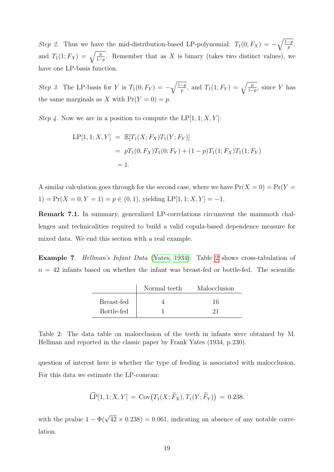Step 2. Thus we have the mid-distribution-based LP-polynomial:  $T_1(0; F_X) = -\sqrt{\frac{1-p}{p}}$ , and  $T_1(1; F_X) = \sqrt{\frac{p}{1-p}}$ . Remember that as X is binary (takes two distinct values), we have one LP-basis function.

Step 3. The LP-basis for Y is  $T_1(0; F_Y) = -\sqrt{\frac{1-p}{p}}$ , and  $T_1(1; F_Y) = \sqrt{\frac{p}{1-p}}$ , since Y has the same marginals as X with  $Pr(Y = 0) = p$ .

Step 4. Now we are in a position to compute the LP[1, 1; X, Y]:

$$
LP[1, 1; X, Y] = \mathbb{E}[T_1(X; F_X)T_1(Y; F_Y)]
$$
  
=  $pT_1(0; F_X)T_1(0; F_Y) + (1 - p)T_1(1; F_X)T_1(1; F_Y)$   
= 1.

A similar calculation goes through for the second case, where we have  $Pr(X = 0) = Pr(Y = 0)$ 1) =  $Pr(X = 0, Y = 1) = p \in (0, 1)$ , yielding LP[1, 1; X, Y] = -1.

Remark 7.1. In summary, generalized LP-correlations circumvent the mammoth challenges and technicalities required to build a valid copula-based dependence measure for mixed data. We end this section with a real example.

<span id="page-18-0"></span>Example 7. Hellman's Infant Data [\(Yates, 1934\)](#page-28-5): Table [2](#page-18-0) shows cross-tabulation of  $n = 42$  infants based on whether the infant was breast-fed or bottle-fed. The scientific

|            | Normal teeth | Malocclusion |
|------------|--------------|--------------|
| Breast-fed |              | 16           |
| Bottle-fed |              |              |

Table 2: The data table on malocclusion of the teeth in infants were obtained by M. Hellman and reported in the classic paper by Frank Yates (1934, p.230).

question of interest here is whether the type of feeding is associated with malocclusion. For this data we estimate the LP-comean:

$$
\widehat{\text{LP}}[1,1;X,Y] = \text{Cov}\big(T_1(X;\widetilde{F}_X), T_1(Y;\widetilde{F}_Y)\big) = 0.238.
$$

with the pvalue  $1 - \Phi(\sqrt{42} \times 0.238) = 0.061$ , indicating an absence of any notable correlation.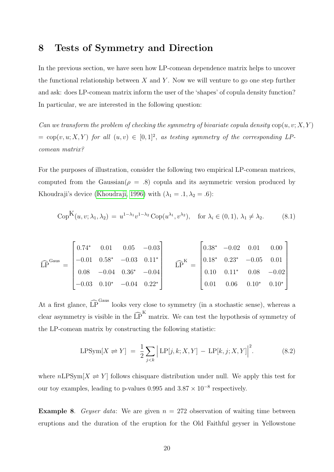# 8 Tests of Symmetry and Direction

In the previous section, we have seen how LP-comean dependence matrix helps to uncover the functional relationship between  $X$  and  $Y$ . Now we will venture to go one step further and ask: does LP-comean matrix inform the user of the 'shapes' of copula density function? In particular, we are interested in the following question:

Can we transform the problem of checking the symmetry of bivariate copula density  $\text{cop}(u, v; X, Y)$  $= \text{cop}(v, u; X, Y)$  for all  $(u, v) \in [0, 1]^2$ , as testing symmetry of the corresponding LPcomean matrix?

For the purposes of illustration, consider the following two empirical LP-comean matrices, computed from the Gaussian( $\rho = .8$ ) copula and its asymmetric version produced by Khoudraji's device [\(Khoudraji, 1996\)](#page-26-8) with  $(\lambda_1 = .1, \lambda_2 = .6)$ :

$$
CopK(u, v; \lambda_1, \lambda_2) = u^{1-\lambda_1}v^{1-\lambda_2} \, Cop(u^{\lambda_1}, v^{\lambda_2}), \quad \text{for } \lambda_i \in (0, 1), \lambda_1 \neq \lambda_2. \tag{8.1}
$$

$$
\widehat{LP}^{\text{Gaus}} = \begin{bmatrix} 0.74^* & 0.01 & 0.05 & -0.03 \\ -0.01 & 0.58^* & -0.03 & 0.11^* \\ 0.08 & -0.04 & 0.36^* & -0.04 \\ -0.03 & 0.10^* & -0.04 & 0.22^* \end{bmatrix} \qquad \widehat{LP}^K = \begin{bmatrix} 0.38^* & -0.02 & 0.01 & 0.00 \\ 0.18^* & 0.23^* & -0.05 & 0.01 \\ 0.10 & 0.11^* & 0.08 & -0.02 \\ 0.01 & 0.06 & 0.10^* & 0.10^* \end{bmatrix}
$$

At a first glance,  $\widehat{LP}^{Gaus}$  looks very close to symmetry (in a stochastic sense), whereas a clear asymmetry is visible in the  $\widehat{LP}^K$  matrix. We can test the hypothesis of symmetry of the LP-comean matrix by constructing the following statistic:

$$
LPSym[X \rightleftharpoons Y] = \frac{1}{2} \sum_{j < k} \left| LP[j, k; X, Y] - LP[k, j; X, Y] \right|^2. \tag{8.2}
$$

where  $nLPSym[X \rightleftharpoons Y]$  follows chisquare distribution under null. We apply this test for our toy examples, leading to p-values 0.995 and  $3.87 \times 10^{-8}$  respectively.

**Example 8.** Geyser data: We are given  $n = 272$  observation of waiting time between eruptions and the duration of the eruption for the Old Faithful geyser in Yellowstone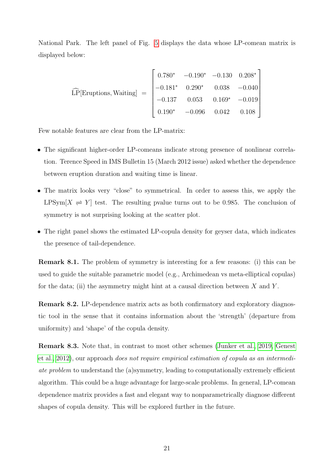National Park. The left panel of Fig. [5](#page-21-0) displays the data whose LP-comean matrix is displayed below:

$$
\widehat{\text{LP}}[\text{Eruptions}, \text{Waiting}] = \begin{bmatrix} 0.780^* & -0.190^* & -0.130 & 0.208^* \\ -0.181^* & 0.290^* & 0.038 & -0.040 \\ -0.137 & 0.053 & 0.169^* & -0.019 \\ 0.190^* & -0.096 & 0.042 & 0.108 \end{bmatrix}
$$

Few notable features are clear from the LP-matrix:

- The significant higher-order LP-comeans indicate strong presence of nonlinear correlation. Terence Speed in IMS Bulletin 15 (March 2012 issue) asked whether the dependence between eruption duration and waiting time is linear.
- The matrix looks very "close" to symmetrical. In order to assess this, we apply the LPSym[ $X \rightleftharpoons Y$ ] test. The resulting pvalue turns out to be 0.985. The conclusion of symmetry is not surprising looking at the scatter plot.
- The right panel shows the estimated LP-copula density for geyser data, which indicates the presence of tail-dependence.

Remark 8.1. The problem of symmetry is interesting for a few reasons: (i) this can be used to guide the suitable parametric model (e.g., Archimedean vs meta-elliptical copulas) for the data; (ii) the asymmetry might hint at a causal direction between  $X$  and  $Y$ .

Remark 8.2. LP-dependence matrix acts as both confirmatory and exploratory diagnostic tool in the sense that it contains information about the 'strength' (departure from uniformity) and 'shape' of the copula density.

Remark 8.3. Note that, in contrast to most other schemes [\(Junker et al., 2019,](#page-26-9) [Genest](#page-25-12) [et al., 2012\)](#page-25-12), our approach does not require empirical estimation of copula as an intermediate problem to understand the (a)symmetry, leading to computationally extremely efficient algorithm. This could be a huge advantage for large-scale problems. In general, LP-comean dependence matrix provides a fast and elegant way to nonparametrically diagnose different shapes of copula density. This will be explored further in the future.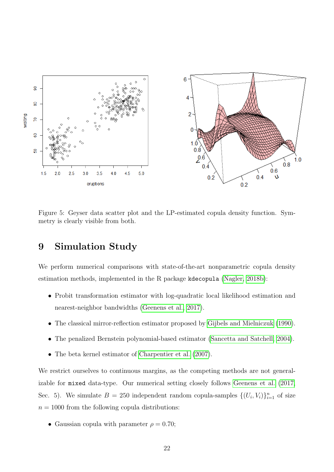<span id="page-21-0"></span>

Figure 5: Geyser data scatter plot and the LP-estimated copula density function. Symmetry is clearly visible from both.

# 9 Simulation Study

We perform numerical comparisons with state-of-the-art nonparametric copula density estimation methods, implemented in the R package kdecopula [\(Nagler, 2018b\)](#page-27-11):

- Probit transformation estimator with log-quadratic local likelihood estimation and nearest-neighbor bandwidths [\(Geenens et al., 2017\)](#page-25-5).
- The classical mirror-reflection estimator proposed by [Gijbels and Mielniczuk](#page-25-4) [\(1990\)](#page-25-4).
- The penalized Bernstein polynomial-based estimator [\(Sancetta and Satchell, 2004\)](#page-27-12).
- The beta kernel estimator of [Charpentier et al.](#page-24-7) [\(2007\)](#page-24-7).

We restrict ourselves to continuous margins, as the competing methods are not generalizable for mixed data-type. Our numerical setting closely follows [Geenens et al.](#page-25-5) [\(2017,](#page-25-5) Sec. 5). We simulate  $B = 250$  independent random copula-samples  $\{(U_i, V_i)\}_{i=1}^n$  of size  $n = 1000$  from the following copula distributions:

• Gaussian copula with parameter  $\rho = 0.70$ ;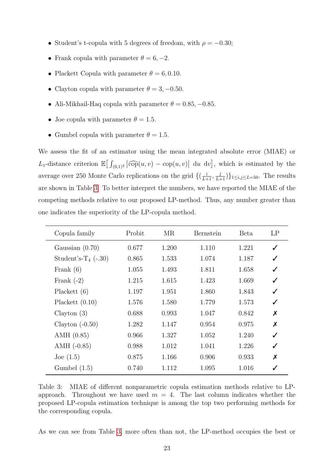- Student's t-copula with 5 degrees of freedom, with  $\rho = -0.30$ ;
- Frank copula with parameter  $\theta = 6, -2$ .
- Plackett Copula with parameter  $\theta = 6, 0.10$ .
- Clayton copula with parameter  $\theta = 3, -0.50$ .
- Ali-Mikhail-Haq copula with parameter  $\theta = 0.85, -0.85$ .
- Joe copula with parameter  $\theta = 1.5$ .
- Gumbel copula with parameter  $\theta = 1.5$ .

We assess the fit of an estimator using the mean integrated absolute error (MIAE) or L<sub>1</sub>-distance criterion  $\mathbb{E}\left[\int_{(0,1)^2}|\widehat{\text{cop}}(u,v) - \text{cop}(u,v)| \, du \, dv\right]$ , which is estimated by the average over 250 Monte Carlo replications on the grid  $\{(\frac{i}{L+1}, \frac{j}{L+1})\}_{1 \leq i,j \leq L=50}$ . The results are shown in Table [3.](#page-22-0) To better interpret the numbers, we have reported the MIAE of the competing methods relative to our proposed LP-method. Thus, any number greater than one indicates the superiority of the LP-copula method.

<span id="page-22-0"></span>

| Copula family                     | Probit | MR    | Bernstein | <b>Beta</b> | LP               |
|-----------------------------------|--------|-------|-----------|-------------|------------------|
| Gaussian $(0.70)$                 | 0.677  | 1.200 | 1.110     | 1.221       | ✓                |
| Student's-T <sub>4</sub> $(-.30)$ | 0.865  | 1.533 | 1.074     | 1.187       | ✓                |
| Frank $(6)$                       | 1.055  | 1.493 | 1.811     | 1.658       | ✓                |
| Frank $(-2)$                      | 1.215  | 1.615 | 1.423     | 1.669       | ✓                |
| Plackett $(6)$                    | 1.197  | 1.951 | 1.860     | 1.843       | ✓                |
| Plackett $(0.10)$                 | 1.576  | 1.580 | 1.779     | 1.573       | ✓                |
| Clayton $(3)$                     | 0.688  | 0.993 | 1.047     | 0.842       | X                |
| Clayton $(-0.50)$                 | 1.282  | 1.147 | 0.954     | 0.975       | $\boldsymbol{x}$ |
| AMH $(0.85)$                      | 0.966  | 1.327 | 1.052     | 1.240       | ✓                |
| $AMH$ (-0.85)                     | 0.988  | 1.012 | 1.041     | 1.226       | ✓                |
| Joe $(1.5)$                       | 0.875  | 1.166 | 0.906     | 0.933       | X                |
| Gumbel $(1.5)$                    | 0.740  | 1.112 | 1.095     | 1.016       |                  |

Table 3: MIAE of different nonparametric copula estimation methods relative to LPapproach. Throughout we have used  $m = 4$ . The last column indicates whether the proposed LP-copula estimation technique is among the top two performing methods for the corresponding copula.

As we can see from Table [3,](#page-22-0) more often than not, the LP-method occupies the best or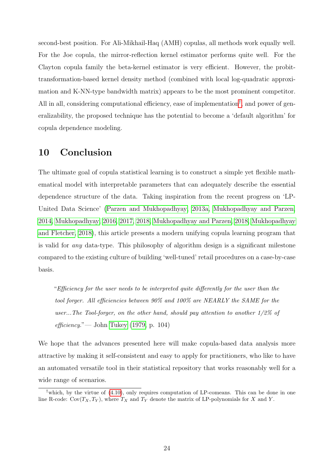second-best position. For Ali-Mikhail-Haq (AMH) copulas, all methods work equally well. For the Joe copula, the mirror-reflection kernel estimator performs quite well. For the Clayton copula family the beta-kernel estimator is very efficient. However, the probittransformation-based kernel density method (combined with local log-quadratic approximation and K-NN-type bandwidth matrix) appears to be the most prominent competitor. All in all, considering computational efficiency, ease of implementation<sup>[†](#page-23-0)</sup>, and power of generalizability, the proposed technique has the potential to become a 'default algorithm' for copula dependence modeling.

### 10 Conclusion

The ultimate goal of copula statistical learning is to construct a simple yet flexible mathematical model with interpretable parameters that can adequately describe the essential dependence structure of the data. Taking inspiration from the recent progress on 'LP-United Data Science' [\(Parzen and Mukhopadhyay, 2013a,](#page-27-0) [Mukhopadhyay and Parzen,](#page-26-0) [2014,](#page-26-0) [Mukhopadhyay, 2016,](#page-26-2) [2017,](#page-26-1) [2018,](#page-26-10) [Mukhopadhyay and Parzen, 2018,](#page-27-2) [Mukhopadhyay](#page-26-11) [and Fletcher, 2018\)](#page-26-11), this article presents a modern unifying copula learning program that is valid for any data-type. This philosophy of algorithm design is a significant milestone compared to the existing culture of building 'well-tuned' retail procedures on a case-by-case basis.

"Efficiency for the user needs to be interpreted quite differently for the user than the tool forger. All efficiencies between 90% and 100% are NEARLY the SAME for the user...The Tool-forger, on the other hand, should pay attention to another 1/2% of  $efficiency. "$  John [Tukey](#page-28-6) [\(1979,](#page-28-6) p. 104)

We hope that the advances presented here will make copula-based data analysis more attractive by making it self-consistent and easy to apply for practitioners, who like to have an automated versatile tool in their statistical repository that works reasonably well for a wide range of scenarios.

<span id="page-23-0"></span><sup>&</sup>lt;sup>†</sup>which, by the virtue of  $(4.10)$ , only requires computation of LP-comeans. This can be done in one line R-code:  $Cov(T_X, T_Y)$ , where  $T_X$  and  $T_Y$  denote the matrix of LP-polynomials for X and Y.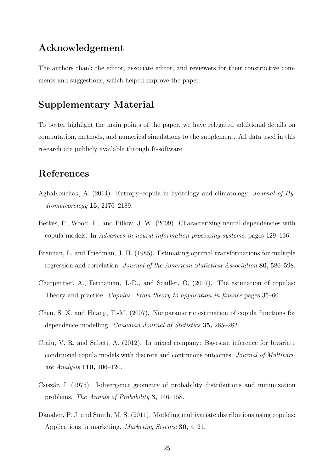# Acknowledgement

The authors thank the editor, associate editor, and reviewers for their constructive comments and suggestions, which helped improve the paper.

# Supplementary Material

To better highlight the main points of the paper, we have relegated additional details on computation, methods, and numerical simulations to the supplement. All data used in this research are publicly available through R-software.

# References

- <span id="page-24-2"></span>AghaKouchak, A. (2014). Entropy–copula in hydrology and climatology. Journal of Hydrometeorology 15, 2176–2189.
- <span id="page-24-0"></span>Berkes, P., Wood, F., and Pillow, J. W. (2009). Characterizing neural dependencies with copula models. In Advances in neural information processing systems, pages 129–136.
- <span id="page-24-6"></span>Breiman, L. and Friedman, J. H. (1985). Estimating optimal transformations for multiple regression and correlation. Journal of the American Statistical Association 80, 580–598.
- <span id="page-24-7"></span>Charpentier, A., Fermanian, J.-D., and Scaillet, O. (2007). The estimation of copulas: Theory and practice. Copulas: From theory to application in finance pages 35–60.
- <span id="page-24-3"></span>Chen, S. X. and Huang, T.-M. (2007). Nonparametric estimation of copula functions for dependence modelling. Canadian Journal of Statistics 35, 265–282.
- <span id="page-24-4"></span>Craiu, V. R. and Sabeti, A. (2012). In mixed company: Bayesian inference for bivariate conditional copula models with discrete and continuous outcomes. Journal of Multivariate Analysis 110, 106–120.
- <span id="page-24-5"></span>Csisz´ar, I. (1975). I-divergence geometry of probability distributions and minimization problems. The Annals of Probability 3, 146–158.
- <span id="page-24-1"></span>Danaher, P. J. and Smith, M. S. (2011). Modeling multivariate distributions using copulas: Applications in marketing. Marketing Science 30, 4–21.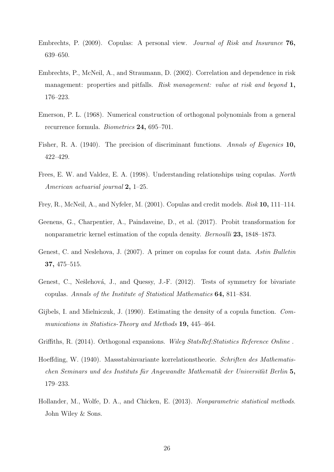- <span id="page-25-11"></span>Embrechts, P. (2009). Copulas: A personal view. Journal of Risk and Insurance 76, 639–650.
- <span id="page-25-0"></span>Embrechts, P., McNeil, A., and Straumann, D. (2002). Correlation and dependence in risk management: properties and pitfalls. *Risk management: value at risk and beyond* 1, 176–223.
- <span id="page-25-8"></span>Emerson, P. L. (1968). Numerical construction of orthogonal polynomials from a general recurrence formula. Biometrics 24, 695–701.
- <span id="page-25-7"></span>Fisher, R. A. (1940). The precision of discriminant functions. Annals of Eugenics 10, 422–429.
- <span id="page-25-2"></span>Frees, E. W. and Valdez, E. A. (1998). Understanding relationships using copulas. North American actuarial journal 2, 1–25.
- <span id="page-25-1"></span>Frey, R., McNeil, A., and Nyfeler, M. (2001). Copulas and credit models. Risk 10, 111–114.
- <span id="page-25-5"></span>Geenens, G., Charpentier, A., Paindaveine, D., et al. (2017). Probit transformation for nonparametric kernel estimation of the copula density. Bernoulli 23, 1848–1873.
- <span id="page-25-6"></span>Genest, C. and Neslehova, J. (2007). A primer on copulas for count data. Astin Bulletin 37, 475–515.
- <span id="page-25-12"></span>Genest, C., Nešlehová, J., and Quessy, J.-F. (2012). Tests of symmetry for bivariate copulas. Annals of the Institute of Statistical Mathematics 64, 811–834.
- <span id="page-25-4"></span>Gijbels, I. and Mielniczuk, J. (1990). Estimating the density of a copula function. Communications in Statistics-Theory and Methods 19, 445–464.
- <span id="page-25-9"></span>Griffiths, R. (2014). Orthogonal expansions. Wiley StatsRef:Statistics Reference Online .
- <span id="page-25-3"></span>Hoeffding, W. (1940). Massstabinvariante korrelationstheorie. Schriften des Mathematischen Seminars und des Instituts für Angewandte Mathematik der Universität Berlin 5, 179–233.
- <span id="page-25-10"></span>Hollander, M., Wolfe, D. A., and Chicken, E. (2013). Nonparametric statistical methods. John Wiley & Sons.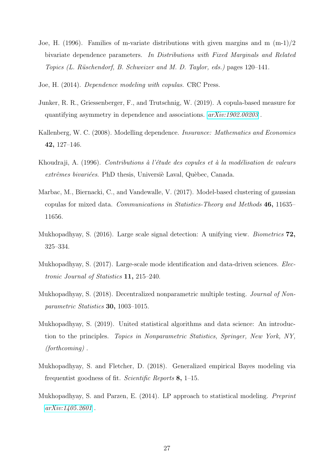- <span id="page-26-5"></span>Joe, H. (1996). Families of m-variate distributions with given margins and m (m-1)/2 bivariate dependence parameters. In Distributions with Fixed Marginals and Related Topics (L. Rüschendorf, B. Schweizer and M. D. Taylor, eds.) pages 120–141.
- <span id="page-26-3"></span>Joe, H. (2014). Dependence modeling with copulas. CRC Press.
- <span id="page-26-9"></span>Junker, R. R., Griessenberger, F., and Trutschnig, W. (2019). A copula-based measure for quantifying asymmetry in dependence and associations.  $arXiv:1902.00203$ .
- <span id="page-26-7"></span>Kallenberg, W. C. (2008). Modelling dependence. Insurance: Mathematics and Economics 42, 127–146.
- <span id="page-26-8"></span>Khoudraji, A. (1996). Contributions à l'étude des copules et à la modélisation de valeurs extrêmes bivariées. PhD thesis, Universiè Laval, Quèbec, Canada.
- <span id="page-26-4"></span>Marbac, M., Biernacki, C., and Vandewalle, V. (2017). Model-based clustering of gaussian copulas for mixed data. Communications in Statistics-Theory and Methods 46, 11635– 11656.
- <span id="page-26-2"></span>Mukhopadhyay, S. (2016). Large scale signal detection: A unifying view. Biometrics 72, 325–334.
- <span id="page-26-1"></span>Mukhopadhyay, S. (2017). Large-scale mode identification and data-driven sciences. Electronic Journal of Statistics 11, 215–240.
- <span id="page-26-10"></span>Mukhopadhyay, S. (2018). Decentralized nonparametric multiple testing. Journal of Nonparametric Statistics 30, 1003–1015.
- <span id="page-26-6"></span>Mukhopadhyay, S. (2019). United statistical algorithms and data science: An introduction to the principles. Topics in Nonparametric Statistics, Springer, New York, NY, (forthcoming) .
- <span id="page-26-11"></span>Mukhopadhyay, S. and Fletcher, D. (2018). Generalized empirical Bayes modeling via frequentist goodness of fit. Scientific Reports 8, 1–15.
- <span id="page-26-0"></span>Mukhopadhyay, S. and Parzen, E. (2014). LP approach to statistical modeling. Preprint  $arXiv:1405.2601$ .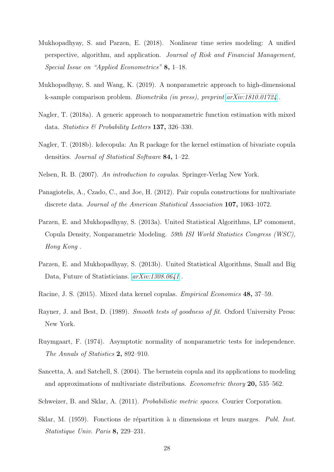- <span id="page-27-2"></span>Mukhopadhyay, S. and Parzen, E. (2018). Nonlinear time series modeling: A unified perspective, algorithm, and application. Journal of Risk and Financial Management, Special Issue on "Applied Econometrics" 8, 1–18.
- <span id="page-27-8"></span>Mukhopadhyay, S. and Wang, K. (2019). A nonparametric approach to high-dimensional k-sample comparison problem. Biometrika (in press), preprint [arXiv:1810.01724](http://arxiv.org/abs/1810.01724) .
- <span id="page-27-7"></span>Nagler, T. (2018a). A generic approach to nonparametric function estimation with mixed data. Statistics  $\mathcal{B}$  Probability Letters 137, 326–330.
- <span id="page-27-11"></span>Nagler, T. (2018b). kdecopula: An R package for the kernel estimation of bivariate copula densities. Journal of Statistical Software 84, 1–22.
- <span id="page-27-4"></span>Nelsen, R. B. (2007). An introduction to copulas. Springer-Verlag New York.
- <span id="page-27-5"></span>Panagiotelis, A., Czado, C., and Joe, H. (2012). Pair copula constructions for multivariate discrete data. Journal of the American Statistical Association 107, 1063–1072.
- <span id="page-27-0"></span>Parzen, E. and Mukhopadhyay, S. (2013a). United Statistical Algorithms, LP comoment, Copula Density, Nonparametric Modeling. 59th ISI World Statistics Congress (WSC), Hong Kong .
- <span id="page-27-1"></span>Parzen, E. and Mukhopadhyay, S. (2013b). United Statistical Algorithms, Small and Big Data, Future of Statisticians.  $arXiv:1308.0641$ .
- <span id="page-27-6"></span>Racine, J. S. (2015). Mixed data kernel copulas. Empirical Economics 48, 37–59.
- <span id="page-27-9"></span>Rayner, J. and Best, D. (1989). Smooth tests of goodness of fit. Oxford University Press: New York.
- <span id="page-27-10"></span>Ruymgaart, F. (1974). Asymptotic normality of nonparametric tests for independence. The Annals of Statistics 2, 892–910.
- <span id="page-27-12"></span>Sancetta, A. and Satchell, S. (2004). The bernstein copula and its applications to modeling and approximations of multivariate distributions. Econometric theory 20, 535–562.
- <span id="page-27-3"></span>Schweizer, B. and Sklar, A. (2011). Probabilistic metric spaces. Courier Corporation.
- Sklar, M. (1959). Fonctions de répartition à n dimensions et leurs marges. Publ. Inst. Statistique Univ. Paris 8, 229–231.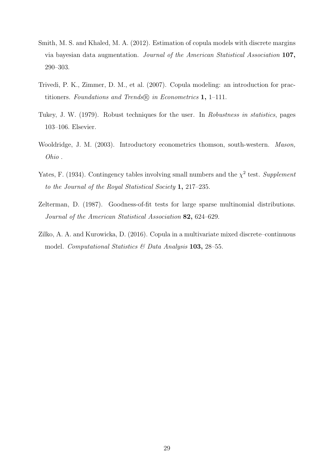- <span id="page-28-1"></span>Smith, M. S. and Khaled, M. A. (2012). Estimation of copula models with discrete margins via bayesian data augmentation. Journal of the American Statistical Association 107, 290–303.
- <span id="page-28-0"></span>Trivedi, P. K., Zimmer, D. M., et al. (2007). Copula modeling: an introduction for practitioners. Foundations and Trends $(\mathbb{R})$  in Econometrics 1, 1–111.
- <span id="page-28-6"></span>Tukey, J. W. (1979). Robust techniques for the user. In Robustness in statistics, pages 103–106. Elsevier.
- <span id="page-28-4"></span>Wooldridge, J. M. (2003). Introductory econometrics thomson, south-western. *Mason*, Ohio .
- <span id="page-28-5"></span>Yates, F. (1934). Contingency tables involving small numbers and the  $\chi^2$  test. Supplement to the Journal of the Royal Statistical Society 1, 217–235.
- <span id="page-28-3"></span>Zelterman, D. (1987). Goodness-of-fit tests for large sparse multinomial distributions. Journal of the American Statistical Association 82, 624–629.
- <span id="page-28-2"></span>Zilko, A. A. and Kurowicka, D. (2016). Copula in a multivariate mixed discrete–continuous model. Computational Statistics  $\mathcal{B}$  Data Analysis 103, 28–55.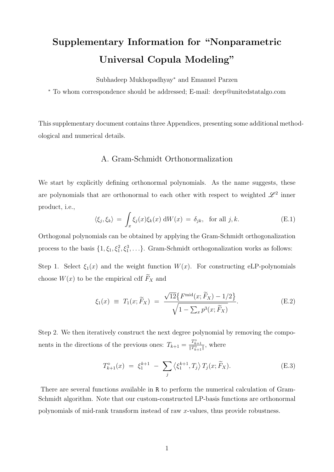# Supplementary Information for "Nonparametric Universal Copula Modeling"

Subhadeep Mukhopadhyay<sup>∗</sup> and Emanuel Parzen

<sup>∗</sup> To whom correspondence should be addressed; E-mail: deep@unitedstatalgo.com

This supplementary document contains three Appendices, presenting some additional methodological and numerical details.

#### A. Gram-Schmidt Orthonormalization

We start by explicitly defining orthonormal polynomials. As the name suggests, these are polynomials that are orthonormal to each other with respect to weighted  $\mathscr{L}^2$  inner product, i.e.,

$$
\langle \xi_j, \xi_k \rangle = \int_x \xi_j(x) \xi_k(x) \, dW(x) = \delta_{jk}, \text{ for all } j, k. \tag{E.1}
$$

Orthogonal polynomials can be obtained by applying the Gram-Schmidt orthogonalization process to the basis  $\{1, \xi_1, \xi_1^2, \xi_1^3, \ldots\}$ . Gram-Schmidt orthogonalization works as follows:

Step 1. Select  $\xi_1(x)$  and the weight function  $W(x)$ . For constructing eLP-polynomials choose  $W(x)$  to be the empirical cdf  $F_X$  and

$$
\xi_1(x) \equiv T_1(x; \tilde{F}_X) = \frac{\sqrt{12} \{ F^{\text{mid}}(x; \tilde{F}_X) - 1/2 \}}{\sqrt{1 - \sum_x p^3(x; \tilde{F}_X)}}.
$$
(E.2)

Step 2. We then iteratively construct the next degree polynomial by removing the components in the directions of the previous ones:  $T_{k+1} = \frac{T_{k+1}^{\circ}}{\|T_{k+1}^{\circ}\|}$ , where

$$
T_{k+1}^{\diamond}(x) = \xi_1^{k+1} - \sum_j \left\langle \xi_1^{k+1}, T_j \right\rangle T_j(x; \widetilde{F}_X). \tag{E.3}
$$

There are several functions available in R to perform the numerical calculation of Gram-Schmidt algorithm. Note that our custom-constructed LP-basis functions are orthonormal polynomials of mid-rank transform instead of raw x-values, thus provide robustness.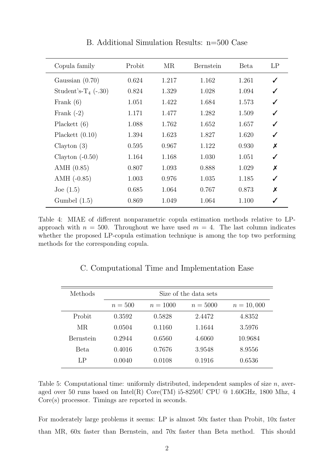| Copula family                     | Probit | MR    | Bernstein | <b>Beta</b> | LP               |
|-----------------------------------|--------|-------|-----------|-------------|------------------|
| Gaussian $(0.70)$                 | 0.624  | 1.217 | 1.162     | 1.261       | ✓                |
| Student's-T <sub>4</sub> $(-.30)$ | 0.824  | 1.329 | 1.028     | 1.094       | ✓                |
| Frank $(6)$                       | 1.051  | 1.422 | 1.684     | 1.573       | ✓                |
| Frank $(-2)$                      | 1.171  | 1.477 | 1.282     | 1.509       | ✓                |
| Placket (6)                       | 1.088  | 1.762 | 1.652     | 1.657       |                  |
| Plackett $(0.10)$                 | 1.394  | 1.623 | 1.827     | 1.620       | ✓                |
| Clayton $(3)$                     | 0.595  | 0.967 | 1.122     | 0.930       | X                |
| Clayton $(-0.50)$                 | 1.164  | 1.168 | 1.030     | 1.051       | ✓                |
| AMH $(0.85)$                      | 0.807  | 1.093 | 0.888     | 1.029       | $\boldsymbol{x}$ |
| $AMH$ (-0.85)                     | 1.003  | 0.976 | 1.035     | 1.185       | ✓                |
| Joe $(1.5)$                       | 0.685  | 1.064 | 0.767     | 0.873       | Х                |
| Gumbel $(1.5)$                    | 0.869  | 1.049 | 1.064     | 1.100       |                  |

B. Additional Simulation Results: n=500 Case

Table 4: MIAE of different nonparametric copula estimation methods relative to LPapproach with  $n = 500$ . Throughout we have used  $m = 4$ . The last column indicates whether the proposed LP-copula estimation technique is among the top two performing methods for the corresponding copula.

|  |  |  |  | C. Computational Time and Implementation Ease |  |
|--|--|--|--|-----------------------------------------------|--|
|--|--|--|--|-----------------------------------------------|--|

| Size of the data sets |            |            |              |  |  |
|-----------------------|------------|------------|--------------|--|--|
| $n = 500$             | $n = 1000$ | $n = 5000$ | $n = 10,000$ |  |  |
| 0.3592                | 0.5828     | 2.4472     | 4.8352       |  |  |
| 0.0504                | 0.1160     | 1.1644     | 3.5976       |  |  |
| 0.2944                | 0.6560     | 4.6060     | 10.9684      |  |  |
| 0.4016                | 0.7676     | 3.9548     | 8.9556       |  |  |
| 0.0040                | 0.0108     | 0.1916     | 0.6536       |  |  |
|                       |            |            |              |  |  |

Table 5: Computational time: uniformly distributed, independent samples of size  $n$ , averaged over 50 runs based on Intel(R) Core(TM) i5-8250U CPU @ 1.60GHz, 1800 Mhz, 4 Core(s) processor. Timings are reported in seconds.

For moderately large problems it seems: LP is almost 50x faster than Probit, 10x faster than MR, 60x faster than Bernstein, and 70x faster than Beta method. This should